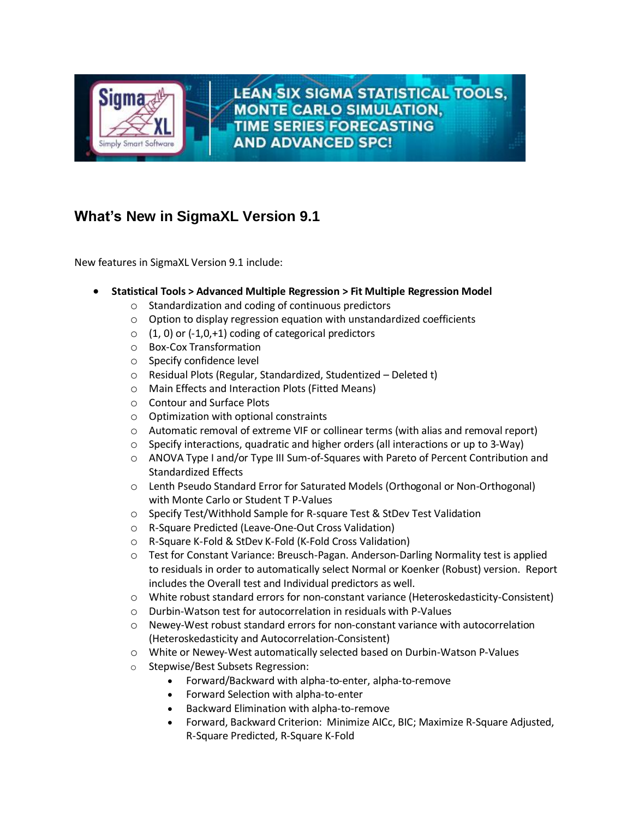

**LEAN SIX SIGMA STATISTICAL TOOLS, MONTE CARLO SIMULATION, TIME SERIES FORECASTING AND ADVANCED SPC!** 

## **What's New in SigmaXL Version 9.1**

New features in SigmaXL Version 9.1 include:

- **Statistical Tools > Advanced Multiple Regression > Fit Multiple Regression Model**
	- o Standardization and coding of continuous predictors
	- o Option to display regression equation with unstandardized coefficients
	- $\circ$  (1, 0) or (-1,0,+1) coding of categorical predictors
	- o Box-Cox Transformation
	- o Specify confidence level
	- o Residual Plots (Regular, Standardized, Studentized Deleted t)
	- o Main Effects and Interaction Plots (Fitted Means)
	- o Contour and Surface Plots
	- o Optimization with optional constraints
	- $\circ$  Automatic removal of extreme VIF or collinear terms (with alias and removal report)
	- $\circ$  Specify interactions, quadratic and higher orders (all interactions or up to 3-Way)
	- o ANOVA Type I and/or Type III Sum-of-Squares with Pareto of Percent Contribution and Standardized Effects
	- o Lenth Pseudo Standard Error for Saturated Models (Orthogonal or Non-Orthogonal) with Monte Carlo or Student T P-Values
	- o Specify Test/Withhold Sample for R-square Test & StDev Test Validation
	- o R-Square Predicted (Leave-One-Out Cross Validation)
	- o R-Square K-Fold & StDev K-Fold (K-Fold Cross Validation)
	- o Test for Constant Variance: Breusch-Pagan. Anderson-Darling Normality test is applied to residuals in order to automatically select Normal or Koenker (Robust) version. Report includes the Overall test and Individual predictors as well.
	- o White robust standard errors for non-constant variance (Heteroskedasticity-Consistent)
	- o Durbin-Watson test for autocorrelation in residuals with P-Values
	- $\circ$  Newey-West robust standard errors for non-constant variance with autocorrelation (Heteroskedasticity and Autocorrelation-Consistent)
	- o White or Newey-West automatically selected based on Durbin-Watson P-Values
	- o Stepwise/Best Subsets Regression:
		- Forward/Backward with alpha-to-enter, alpha-to-remove
			- Forward Selection with alpha-to-enter
			- Backward Elimination with alpha-to-remove
			- Forward, Backward Criterion: Minimize AICc, BIC; Maximize R-Square Adjusted, R-Square Predicted, R-Square K-Fold